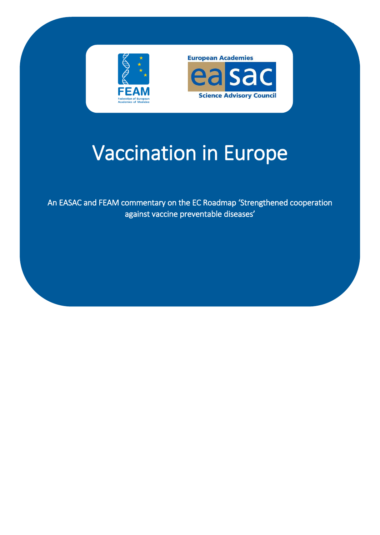

1

# Vaccination in Europe

An EASAC and FEAM commentary on the EC Roadmap 'Strengthened cooperation against vaccine preventable diseases'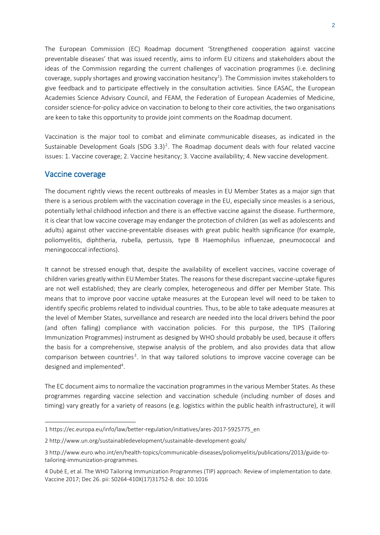The European Commission (EC) Roadmap document 'Strengthened cooperation against vaccine preventable diseases' that was issued recently, aims to inform EU citizens and stakeholders about the ideas of the Commission regarding the current challenges of vaccination programmes (i.e. declining coverage, supply shortages and growing vaccination hesitancy<sup>1</sup>). The Commission invites stakeholders to give feedback and to participate effectively in the consultation activities. Since EASAC, the European Academies Science Advisory Council, and FEAM, the Federation of European Academies of Medicine, consider science-for-policy advice on vaccination to belong to their core activities, the two organisations are keen to take this opportunity to provide joint comments on the Roadmap document.

Vaccination is the major tool to combat and eliminate communicable diseases, as indicated in the Sustainable Development Goals (SDG 3.3)<sup>2</sup>. The Roadmap document deals with four related vaccine issues: 1. Vaccine coverage; 2. Vaccine hesitancy; 3. Vaccine availability; 4. New vaccine development.

# Vaccine coverage

The document rightly views the recent outbreaks of measles in EU Member States as a major sign that there is a serious problem with the vaccination coverage in the EU, especially since measles is a serious, potentially lethal childhood infection and there is an effective vaccine against the disease. Furthermore, it is clear that low vaccine coverage may endanger the protection of children (as well as adolescents and adults) against other vaccine-preventable diseases with great public health significance (for example, poliomyelitis, diphtheria, rubella, pertussis, type B Haemophilus influenzae, pneumococcal and meningococcal infections).

It cannot be stressed enough that, despite the availability of excellent vaccines, vaccine coverage of children varies greatly within EU Member States. The reasons for these discrepant vaccine-uptake figures are not well established; they are clearly complex, heterogeneous and differ per Member State. This means that to improve poor vaccine uptake measures at the European level will need to be taken to identify specific problems related to individual countries. Thus, to be able to take adequate measures at the level of Member States, surveillance and research are needed into the local drivers behind the poor (and often falling) compliance with vaccination policies. For this purpose, the TIPS (Tailoring Immunization Programmes) instrument as designed by WHO should probably be used, because it offers the basis for a comprehensive, stepwise analysis of the problem, and also provides data that allow comparison between countries<sup>3</sup>. In that way tailored solutions to improve vaccine coverage can be designed and implemented<sup>4</sup>.

The EC document aims to normalize the vaccination programmes in the various Member States. As these programmes regarding vaccine selection and vaccination schedule (including number of doses and timing) vary greatly for a variety of reasons (e.g. logistics within the public health infrastructure), it will

 $\overline{a}$ 1 https://ec.europa.eu/info/law/better-regulation/initiatives/ares-2017-5925775\_en

<sup>2</sup> http://www.un.org/sustainabledevelopment/sustainable-development-goals/

<sup>3</sup> http://www.euro.who.int/en/health-topics/communicable-diseases/poliomyelitis/publications/2013/guide-totailoring-immunization-programmes.

<sup>4</sup> Dubé E, et al. The WHO Tailoring Immunization Programmes (TIP) approach: Review of implementation to date. Vaccine 2017; Dec 26. pii: S0264-410X(17)31752-8. doi: 10.1016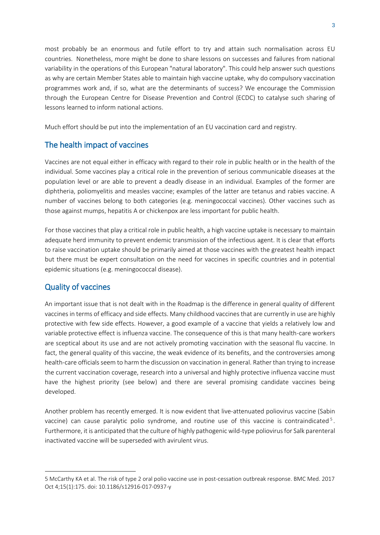most probably be an enormous and futile effort to try and attain such normalisation across EU countries. Nonetheless, more might be done to share lessons on successes and failures from national variability in the operations of this European "natural laboratory". This could help answer such questions as why are certain Member States able to maintain high vaccine uptake, why do compulsory vaccination programmes work and, if so, what are the determinants of success? We encourage the Commission through the European Centre for Disease Prevention and Control (ECDC) to catalyse such sharing of lessons learned to inform national actions.

Much effort should be put into the implementation of an EU vaccination card and registry.

# The health impact of vaccines

Vaccines are not equal either in efficacy with regard to their role in public health or in the health of the individual. Some vaccines play a critical role in the prevention of serious communicable diseases at the population level or are able to prevent a deadly disease in an individual. Examples of the former are diphtheria, poliomyelitis and measles vaccine; examples of the latter are tetanus and rabies vaccine. A number of vaccines belong to both categories (e.g. meningococcal vaccines). Other vaccines such as those against mumps, hepatitis A or chickenpox are less important for public health.

For those vaccines that play a critical role in public health, a high vaccine uptake is necessary to maintain adequate herd immunity to prevent endemic transmission of the infectious agent. It is clear that efforts to raise vaccination uptake should be primarily aimed at those vaccines with the greatest health impact but there must be expert consultation on the need for vaccines in specific countries and in potential epidemic situations (e.g. meningococcal disease).

# Quality of vaccines

 $\overline{a}$ 

An important issue that is not dealt with in the Roadmap is the difference in general quality of different vaccines in terms of efficacy and side effects. Many childhood vaccines that are currently in use are highly protective with few side effects. However, a good example of a vaccine that yields a relatively low and variable protective effect is influenza vaccine. The consequence of this is that many health-care workers are sceptical about its use and are not actively promoting vaccination with the seasonal flu vaccine. In fact, the general quality of this vaccine, the weak evidence of its benefits, and the controversies among health-care officials seem to harm the discussion on vaccination in general. Rather than trying to increase the current vaccination coverage, research into a universal and highly protective influenza vaccine must have the highest priority (see below) and there are several promising candidate vaccines being developed.

Another problem has recently emerged. It is now evident that live-attenuated poliovirus vaccine (Sabin vaccine) can cause paralytic polio syndrome, and routine use of this vaccine is contraindicated<sup>5</sup>. Furthermore, it is anticipated that the culture of highly pathogenic wild-type poliovirus for Salk parenteral inactivated vaccine will be superseded with avirulent virus.

<sup>5</sup> McCarthy KA et al[. The risk of type 2 oral polio vaccine use in post-cessation outbreak response.](https://www.ncbi.nlm.nih.gov/pubmed/28974220) BMC Med. 2017 Oct 4;15(1):175. doi: 10.1186/s12916-017-0937-y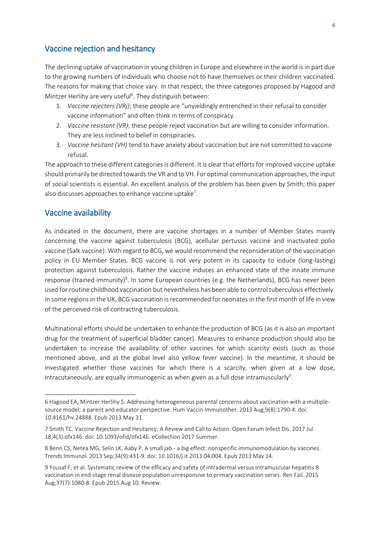## Vaccine rejection and hesitancy

The declining uptake of vaccination in young children in Europe and elsewhere in the world is in part due to the growing numbers of individuals who choose not to have themselves or their children vaccinated. The reasons for making that choice vary. In that respect, the three categories proposed by Hagood and Mintzer Herlihy are very useful<sup>6</sup>. They distinguish between:

- 1. *Vaccine rejecters (VRj)*; these people are "unyieldingly entrenched in their refusal to consider vaccine information" and often think in terms of conspiracy.
- 2. *Vaccine resistant (VR)*; these people reject vaccination but are willing to consider information. They are less inclined to belief in conspiracies.
- 3. *Vaccine hesitant (VH)* tend to have anxiety about vaccination but are not committed to vaccine refusal.

The approach to these different categories is different. It is clear that efforts for improved vaccine uptake should primarily be directed towards the VR and to VH. For optimal communication approaches, the input of social scientists is essential. An excellent analysis of the problem has been given by Smith; this paper also discusses approaches to enhance vaccine uptake<sup>7</sup>.

## Vaccine availability

 $\overline{a}$ 

As indicated in the document, there are vaccine shortages in a number of Member States mainly concerning the vaccine against tuberculosis (BCG), acellular pertussis vaccine and inactivated polio vaccine (Salk vaccine). With regard to BCG, we would recommend the reconsideration of the vaccination policy in EU Member States. BCG vaccine is not very potent in its capacity to induce (long-lasting) protection against tuberculosis. Rather the vaccine induces an enhanced state of the innate immune response (trained immunity)<sup>8</sup>. In some European countries (e.g. the Netherlands), BCG has never been used for routine childhood vaccination but nevertheless has been able to control tuberculosis effectively. In some regions in the UK, BCG vaccination is recommended for neonates in the first month of life in view of the perceived risk of contracting tuberculosis.

Multinational efforts should be undertaken to enhance the production of BCG (as it is also an important drug for the treatment of superficial bladder cancer). Measures to enhance production should also be undertaken to increase the availability of other vaccines for which scarcity exists (such as those mentioned above, and at the global level also yellow fever vaccine). In the meantime, it should be investigated whether those vaccines for which there is a scarcity, when given at a low dose, intracutaneously, are equally immunogenic as when given as a full dose intramuscularly $^{\rm 9}$ .

<sup>6</sup> [Hagood EA,](https://www.ncbi.nlm.nih.gov/pubmed/?term=Hagood%20EA%5BAuthor%5D&cauthor=true&cauthor_uid=23732902) [Mintzer Herlihy S.](https://www.ncbi.nlm.nih.gov/pubmed/?term=Mintzer%20Herlihy%20S%5BAuthor%5D&cauthor=true&cauthor_uid=23732902) Addressing heterogeneous parental concerns about vaccination with a multiplesource model: a parent and educator perspective[. Hum Vaccin Immunother.](https://www.ncbi.nlm.nih.gov/pubmed/?term=hagood-ea) 2013 Aug;9(8):1790-4. doi: 10.4161/hv.24888. Epub 2013 May 31.

<sup>7</sup> Smith TC[. Vaccine Rejection and Hesitancy: A Review and Call to Action.](https://www.ncbi.nlm.nih.gov/pubmed/28948177) Open Forum Infect Dis. 2017 Jul 18;4(3):ofx146. doi: 10.1093/ofid/ofx146. eCollection 2017 Summer.

<sup>8</sup> Benn CS, Netea MG, Selin LK, Aaby P. A small jab - [a big effect: nonspecific immunomodulation by vaccines.](https://www.ncbi.nlm.nih.gov/pubmed/23680130) Trends Immunol. 2013 Sep;34(9):431-9. doi: 10.1016/j.it.2013.04.004. Epub 2013 May 14.

<sup>9</sup> Yousaf F, et al[. Systematic review of the efficacy and safety of intradermal versus intramuscular hepatitis B](https://www.ncbi.nlm.nih.gov/pubmed/26258528)  [vaccination in end-stage renal disease population unresponsive to primary vaccination series.](https://www.ncbi.nlm.nih.gov/pubmed/26258528) Ren Fail. 2015 Aug;37(7):1080-8. Epub 2015 Aug 10. Review.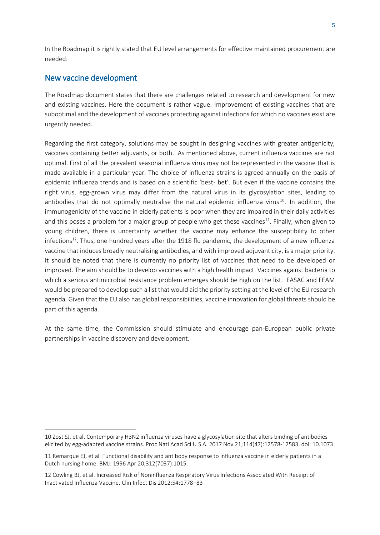In the Roadmap it is rightly stated that EU level arrangements for effective maintained procurement are needed.

## New vaccine development

 $\overline{a}$ 

The Roadmap document states that there are challenges related to research and development for new and existing vaccines. Here the document is rather vague. Improvement of existing vaccines that are suboptimal and the development of vaccines protecting against infections for which no vaccines exist are urgently needed.

Regarding the first category, solutions may be sought in designing vaccines with greater antigenicity, vaccines containing better adjuvants, or both. As mentioned above, current influenza vaccines are not optimal. First of all the prevalent seasonal influenza virus may not be represented in the vaccine that is made available in a particular year. The choice of influenza strains is agreed annually on the basis of epidemic influenza trends and is based on a scientific 'best- bet'. But even if the vaccine contains the right virus, egg-grown virus may differ from the natural virus in its glycosylation sites, leading to antibodies that do not optimally neutralise the natural epidemic influenza virus<sup>10</sup>. In addition, the immunogenicity of the vaccine in elderly patients is poor when they are impaired in their daily activities and this poses a problem for a major group of people who get these vaccines<sup>11</sup>. Finally, when given to young children, there is uncertainty whether the vaccine may enhance the susceptibility to other infections<sup>12</sup>. Thus, one hundred years after the 1918 flu pandemic, the development of a new influenza vaccine that induces broadly neutralising antibodies, and with improved adjuvanticity, is a major priority. It should be noted that there is currently no priority list of vaccines that need to be developed or improved. The aim should be to develop vaccines with a high health impact. Vaccines against bacteria to which a serious antimicrobial resistance problem emerges should be high on the list. EASAC and FEAM would be prepared to develop such a list that would aid the priority setting at the level of the EU research agenda. Given that the EU also has global responsibilities, vaccine innovation for global threats should be part of this agenda.

At the same time, the Commission should stimulate and encourage pan-European public private partnerships in vaccine discovery and development.

<sup>10</sup> [Zost SJ,](https://www.ncbi.nlm.nih.gov/pubmed/?term=Zost%20SJ%5BAuthor%5D&cauthor=true&cauthor_uid=29109276) et al. Contemporary H3N2 influenza viruses have a glycosylation site that alters binding of antibodies elicited by egg-adapted vaccine strains[. Proc Natl Acad Sci U S A.](https://www.ncbi.nlm.nih.gov/pubmed/?term=zost+influenza+vaccine+PNAs) 2017 Nov 21;114(47):12578-12583. doi: 10.1073

<sup>11</sup> Remarque EJ, et al. [Functional disability and antibody response to influenza vaccine in elderly patients in a](https://www.ncbi.nlm.nih.gov/pubmed/8616350)  [Dutch nursing home.](https://www.ncbi.nlm.nih.gov/pubmed/8616350) BMJ. 1996 Apr 20;312(7037):1015.

<sup>12</sup> Cowling BJ, et al. Increased Risk of Noninfluenza Respiratory Virus Infections Associated With Receipt of Inactivated Influenza Vaccine. Clin Infect Dis 2012;54:1778–83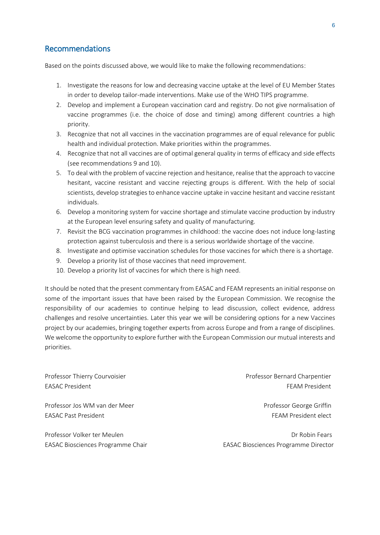## Recommendations

Based on the points discussed above, we would like to make the following recommendations:

- 1. Investigate the reasons for low and decreasing vaccine uptake at the level of EU Member States in order to develop tailor-made interventions. Make use of the WHO TIPS programme.
- 2. Develop and implement a European vaccination card and registry. Do not give normalisation of vaccine programmes (i.e. the choice of dose and timing) among different countries a high priority.
- 3. Recognize that not all vaccines in the vaccination programmes are of equal relevance for public health and individual protection. Make priorities within the programmes.
- 4. Recognize that not all vaccines are of optimal general quality in terms of efficacy and side effects (see recommendations 9 and 10).
- 5. To deal with the problem of vaccine rejection and hesitance, realise that the approach to vaccine hesitant, vaccine resistant and vaccine rejecting groups is different. With the help of social scientists, develop strategies to enhance vaccine uptake in vaccine hesitant and vaccine resistant individuals.
- 6. Develop a monitoring system for vaccine shortage and stimulate vaccine production by industry at the European level ensuring safety and quality of manufacturing.
- 7. Revisit the BCG vaccination programmes in childhood: the vaccine does not induce long-lasting protection against tuberculosis and there is a serious worldwide shortage of the vaccine.
- 8. Investigate and optimise vaccination schedules for those vaccines for which there is a shortage.
- 9. Develop a priority list of those vaccines that need improvement.
- 10. Develop a priority list of vaccines for which there is high need.

It should be noted that the present commentary from EASAC and FEAM represents an initial response on some of the important issues that have been raised by the European Commission. We recognise the responsibility of our academies to continue helping to lead discussion, collect evidence, address challenges and resolve uncertainties. Later this year we will be considering options for a new Vaccines project by our academies, bringing together experts from across Europe and from a range of disciplines. We welcome the opportunity to explore further with the European Commission our mutual interests and priorities.

Professor Jos WM van der Meer **Professor George Griffin** EASAC Past President FEAM President EASAC Past President

Professor Volker ter Meulen and Dr Robin Fears and Dr Robin Fears and Dr Robin Fears and Dr Robin Fears and Dr

Professor Thierry Courvoisier **Professor Bernard Charpentier** Professor Bernard Charpentier EASAC President FEAM President

EASAC Biosciences Programme Chair **EASAC Biosciences Programme Director**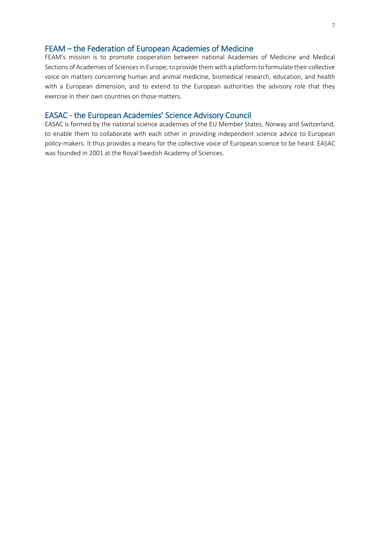#### FEAM – the Federation of European Academies of Medicine

FEAM's mission is to promote cooperation between national Academies of Medicine and Medical Sections of Academies of Sciences in Europe; to provide them with a platform to formulate their collective voice on matters concerning human and animal medicine, biomedical research, education, and health with a European dimension; and to extend to the European authorities the advisory role that they exercise in their own countries on those matters.

#### EASAC - the European Academies' Science Advisory Council

EASAC is formed by the national science academies of the EU Member States, Norway and Switzerland, to enable them to collaborate with each other in providing independent science advice to European policy-makers. It thus provides a means for the collective voice of European science to be heard. EASAC was founded in 2001 at the Royal Swedish Academy of Sciences.